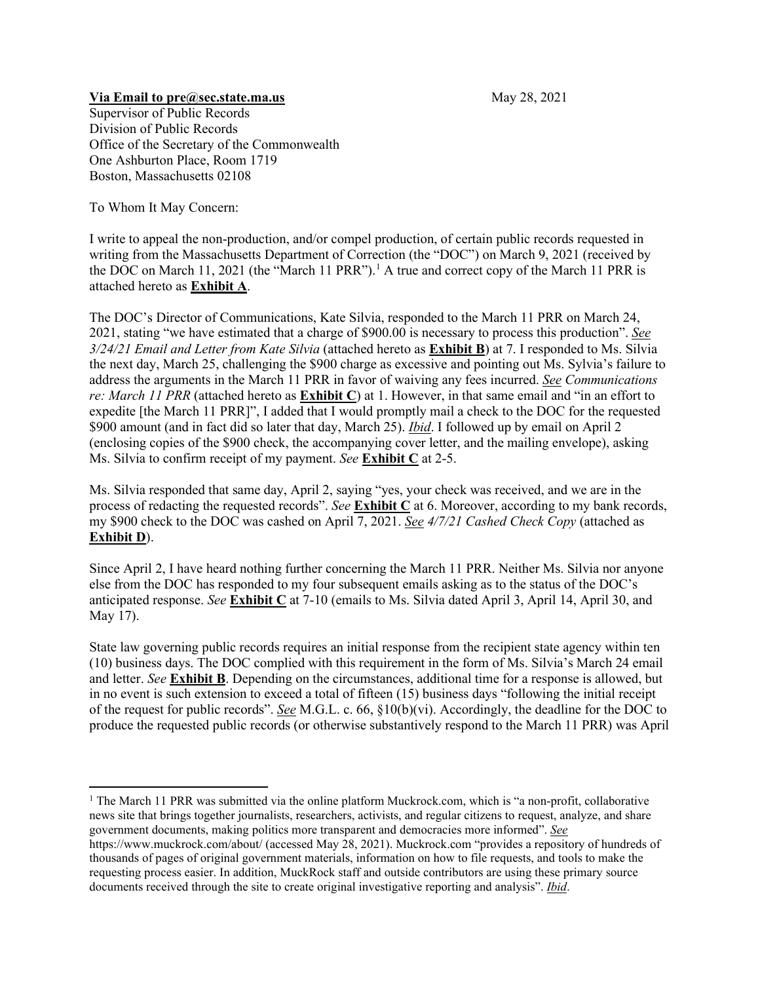## **Via Email to [pre@sec.state.ma.us](mailto:pre@sec.state.ma.us)** May 28, 2021

Supervisor of Public Records Division of Public Records Office of the Secretary of the Commonwealth One Ashburton Place, Room 1719 Boston, Massachusetts 02108

To Whom It May Concern:

I write to appeal the non-production, and/or compel production, of certain public records requested in writing from the Massachusetts Department of Correction (the "DOC") on March 9, 2021 (received by the DOC on March 11, 2021 (the "March 11 PRR"). [1](#page-0-0) A true and correct copy of the March 11 PRR is attached hereto as **Exhibit A**.

The DOC's Director of Communications, Kate Silvia, responded to the March 11 PRR on March 24, 2021, stating "we have estimated that a charge of \$900.00 is necessary to process this production". *See 3/24/21 Email and Letter from Kate Silvia* (attached hereto as **Exhibit B**) at 7. I responded to Ms. Silvia the next day, March 25, challenging the \$900 charge as excessive and pointing out Ms. Sylvia's failure to address the arguments in the March 11 PRR in favor of waiving any fees incurred. *See Communications re: March 11 PRR* (attached hereto as **Exhibit C**) at 1. However, in that same email and "in an effort to expedite [the March 11 PRR]", I added that I would promptly mail a check to the DOC for the requested \$900 amount (and in fact did so later that day, March 25). *Ibid*. I followed up by email on April 2 (enclosing copies of the \$900 check, the accompanying cover letter, and the mailing envelope), asking Ms. Silvia to confirm receipt of my payment. *See* **Exhibit C** at 2-5.

Ms. Silvia responded that same day, April 2, saying "yes, your check was received, and we are in the process of redacting the requested records". *See* **Exhibit C** at 6. Moreover, according to my bank records, my \$900 check to the DOC was cashed on April 7, 2021. *See 4/7/21 Cashed Check Copy* (attached as **Exhibit D**).

Since April 2, I have heard nothing further concerning the March 11 PRR. Neither Ms. Silvia nor anyone else from the DOC has responded to my four subsequent emails asking as to the status of the DOC's anticipated response. *See* **Exhibit C** at 7-10 (emails to Ms. Silvia dated April 3, April 14, April 30, and May 17).

State law governing public records requires an initial response from the recipient state agency within ten (10) business days. The DOC complied with this requirement in the form of Ms. Silvia's March 24 email and letter. *See* **Exhibit B**. Depending on the circumstances, additional time for a response is allowed, but in no event is such extension to exceed a total of fifteen (15) business days "following the initial receipt of the request for public records". *See* M.G.L. c. 66, §10(b)(vi). Accordingly, the deadline for the DOC to produce the requested public records (or otherwise substantively respond to the March 11 PRR) was April

<span id="page-0-0"></span><sup>&</sup>lt;sup>1</sup> The March 11 PRR was submitted via the online platform Muckrock.com, which is "a non-profit, collaborative news site that brings together journalists, researchers, activists, and regular citizens to request, analyze, and share government documents, making politics more transparent and democracies more informed". *See* <https://www.muckrock.com/about/> (accessed May 28, 2021). Muckrock.com "provides [a repository of hundreds of](https://www.muckrock.com/foi/list/)  [thousands of pages of original government materials,](https://www.muckrock.com/foi/list/) [information on how to file requests,](https://www.muckrock.com/about/foia-101/) an[d tools to make the](https://www.muckrock.com/landing/)  [requesting process easier.](https://www.muckrock.com/landing/) In addition, MuckRock staff and outside contributors are using these primary source documents received through the site to creat[e original investigative reporting and analysis"](https://www.muckrock.com/news/archives/). *Ibid*.